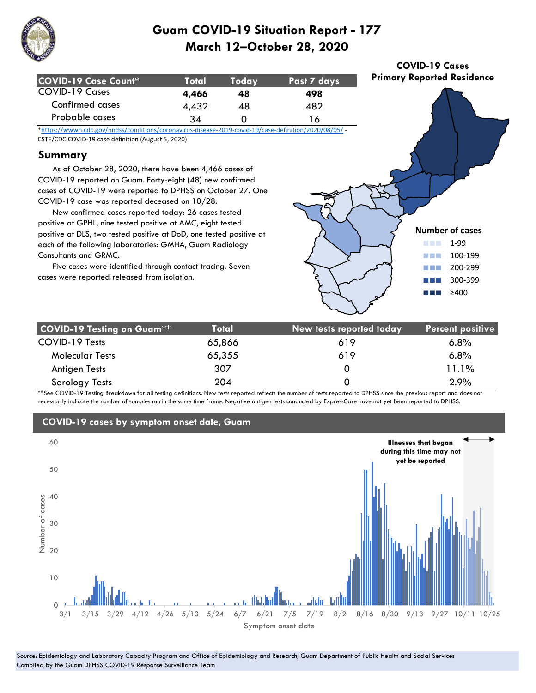

| COVID-19 Case Count* | :Total | Todav | Past 7 days |
|----------------------|--------|-------|-------------|
| COVID-19 Cases       | 4.466  | 48    | 498         |
| Confirmed cases      | 4,432  | 48    | 482         |
| Probable cases       | 34     |       | ' ራ         |

\*https://wwwn.cdc.gov/nndss/conditions/coronavirus-disease-2019-covid-19/case-definition/2020/08/05/ - CSTE/CDC COVID-19 case definition (August 5, 2020)

### **Summary**

 As of October 28, 2020, there have been 4,466 cases of COVID-19 reported on Guam. Forty-eight (48) new confirmed cases of COVID-19 were reported to DPHSS on October 27. One COVID-19 case was reported deceased on 10/28.

 New confirmed cases reported today: 26 cases tested positive at GPHL, nine tested positive at AMC, eight tested positive at DLS, two tested positive at DoD, one tested positive at each of the following laboratories: GMHA, Guam Radiology Consultants and GRMC.

 Five cases were identified through contact tracing. Seven cases were reported released from isolation.



**COVID-19 Cases Primary Reported Residence**

| <b>COVID-19 Testing on Guam**</b> | <b>Total</b> | New tests reported today | <b>Percent positive</b> |
|-----------------------------------|--------------|--------------------------|-------------------------|
| COVID-19 Tests                    | 65,866       | 619                      | $6.8\%$                 |
| <b>Molecular Tests</b>            | 65,355       | 619                      | 6.8%                    |
| Antigen Tests                     | 307          |                          | 11.1%                   |
| Serology Tests                    | 204          |                          | 2.9%                    |

\*\*See COVID-19 Testing Breakdown for all testing definitions. New tests reported reflects the number of tests reported to DPHSS since the previous report and does not necessarily indicate the number of samples run in the same time frame. Negative antigen tests conducted by ExpressCare have not yet been reported to DPHSS.



## **COVID-19 cases by symptom onset date, Guam**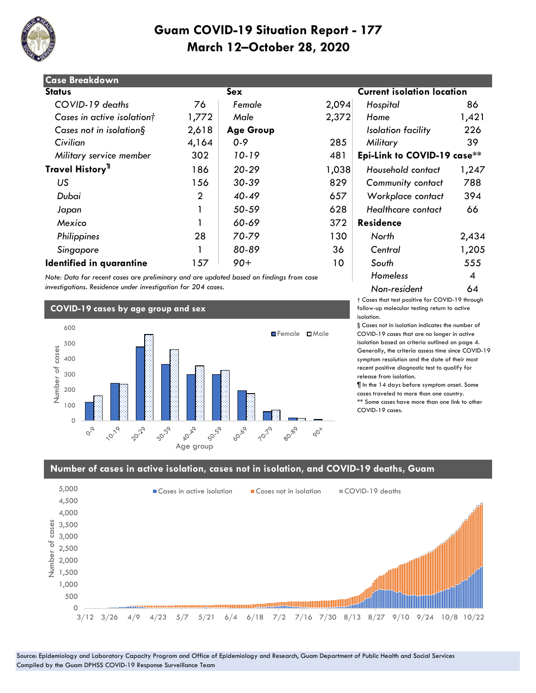

| <b>Case Breakdown</b>        |                |                  |       |                                   |       |
|------------------------------|----------------|------------------|-------|-----------------------------------|-------|
| <b>Status</b>                |                | Sex              |       | <b>Current isolation location</b> |       |
| COVID-19 deaths              | 76             | Female           | 2,094 | Hospital                          | 86    |
| Cases in active isolationt   | 1,772          | Male             | 2,372 | Home                              | 1,421 |
| Cases not in isolation $\S$  | 2,618          | <b>Age Group</b> |       | Isolation facility                | 226   |
| Civilian                     | 4,164          | $0 - 9$          | 285   | Military                          | 39    |
| Military service member      | 302            | 10-19            | 481   | Epi-Link to COVID-19 case**       |       |
| Travel History <sup>11</sup> | 186            | $20 - 29$        | 1,038 | Household contact                 | 1,247 |
| US                           | 156            | 30-39            | 829   | <b>Community contact</b>          | 788   |
| Dubai                        | $\overline{2}$ | $40 - 49$        | 657   | Workplace contact                 | 394   |
| Japan                        |                | 50-59            | 628   | Healthcare contact                | 66    |
| Mexico                       |                | 60-69            | 372   | <b>Residence</b>                  |       |
| Philippines                  | 28             | 70-79            | 130   | North                             | 2,434 |
| Singapore                    |                | 80-89            | 36    | Central                           | 1,205 |
| Identified in quarantine     | 157            | $90+$            | 10    | South                             | 555   |

*Note: Data for recent cases are preliminary and are updated based on findings from case investigations. Residence under investigation for 204 cases.*

#### **COVID-19 cases by age group and sex**



# **Kisolation location**  *Military service member* 302 *10-19* 481 **Epi-Link to COVID-19 case\*\*** 186 *20-29* 1,038 *Household contact* 1,247  *US* 156 *30-39* 829 *Community contact* 788  *Dubai* 2 *40-49* 657 *Workplace contact* 394 *Homeless* 4 *Non-resident* 64

† Cases that test positive for COVID-19 through follow-up molecular testing return to active isolation.

§ Cases not in isolation indicates the number of COVID-19 cases that are no longer in active isolation based on criteria outlined on page 4. Generally, the criteria assess time since COVID-19 symptom resolution and the date of their most recent positive diagnostic test to qualify for release from isolation.

¶ In the 14 days before symptom onset. Some cases traveled to more than one country. \*\* Some cases have more than one link to other COVID-19 cases.

#### **Number of cases in active isolation, cases not in isolation, and COVID-19 deaths, Guam**

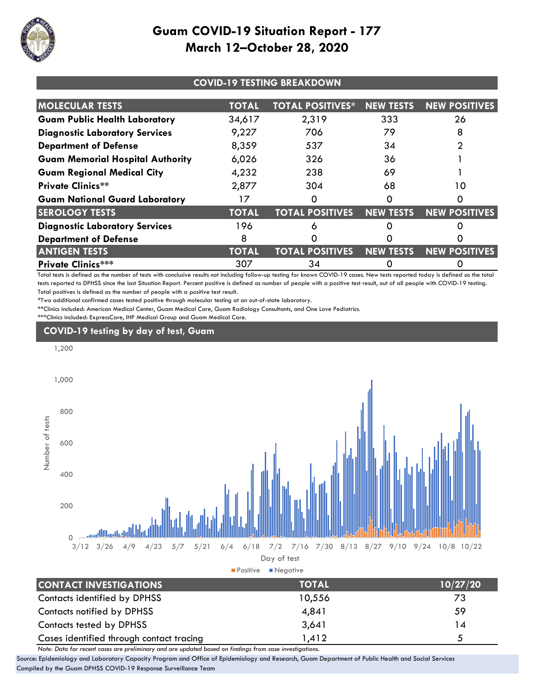

| <b>COVID-19 TESTING BREAKDOWN</b>       |              |                         |                  |                      |
|-----------------------------------------|--------------|-------------------------|------------------|----------------------|
| <b>MOLECULAR TESTS</b>                  | <b>TOTAL</b> | <b>TOTAL POSITIVES*</b> | <b>NEW TESTS</b> | <b>NEW POSITIVES</b> |
| <b>Guam Public Health Laboratory</b>    | 34,617       | 2,319                   | 333              | 26                   |
| <b>Diagnostic Laboratory Services</b>   | 9,227        | 706                     | 79               | 8                    |
| <b>Department of Defense</b>            | 8,359        | 537                     | 34               |                      |
| <b>Guam Memorial Hospital Authority</b> | 6,026        | 326                     | 36               |                      |
| <b>Guam Regional Medical City</b>       | 4,232        | 238                     | 69               |                      |
| <b>Private Clinics**</b>                | 2,877        | 304                     | 68               | 10                   |
| <b>Guam National Guard Laboratory</b>   | 17           | Ο                       |                  |                      |
| <b>SEROLOGY TESTS</b>                   | <b>TOTAL</b> | <b>TOTAL POSITIVES</b>  | <b>NEW TESTS</b> | <b>NEW POSITIVES</b> |
| <b>Diagnostic Laboratory Services</b>   | 196          | 6                       |                  |                      |
| <b>Department of Defense</b>            | 8            | O                       |                  |                      |
| <b>ANTIGEN TESTS</b>                    | <b>TOTAL</b> | <b>TOTAL POSITIVES</b>  | <b>NEW TESTS</b> | <b>NEW POSITIVES</b> |
| <b>Private Clinics***</b>               | 307          | 34                      |                  |                      |

Total tests is defined as the number of tests with conclusive results not including follow-up testing for known COVID-19 cases. New tests reported today is defined as the total tests reported to DPHSS since the last Situation Report. Percent positive is defined as number of people with a positive test result, out of all people with COVID-19 testing. Total positives is defined as the number of people with a positive test result.

\*Two additional confirmed cases tested positive through molecular testing at an out-of-state laboratory.

\*\*Clinics included: American Medical Center, Guam Medical Care, Guam Radiology Consultants, and One Love Pediatrics.

\*\*\*Clinics included: ExpressCare, IHP Medical Group and Guam Medical Care.

## **COVID-19 testing by day of test, Guam**



| LUNIALI INVESIIUAIIUNS                   | IUIAL  | 10/27/20 |
|------------------------------------------|--------|----------|
| Contacts identified by DPHSS             | 10,556 | 73       |
| <b>Contacts notified by DPHSS</b>        | 4.841  | 59       |
| Contacts tested by DPHSS                 | 3,641  | 14       |
| Cases identified through contact tracing | 1,412  | б.       |

*Note: Data for recent cases are preliminary and are updated based on findings from case investigations.*

Source: Epidemiology and Laboratory Capacity Program and Office of Epidemiology and Research, Guam Department of Public Health and Social Services Compiled by the Guam DPHSS COVID-19 Response Surveillance Team